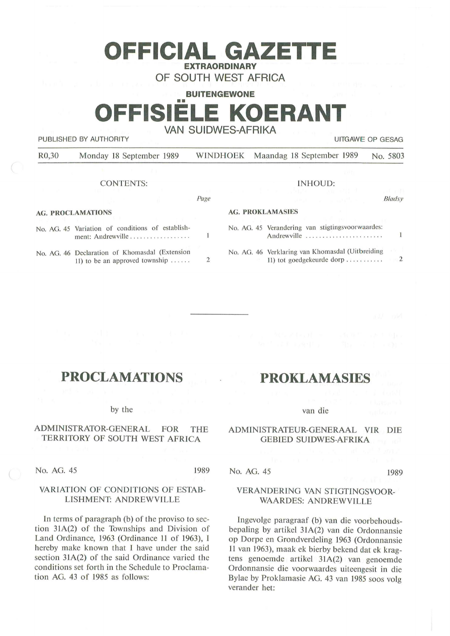## **OFFICIAL GAZETTE EXTRAORDINARY**

**OF SOUTH WEST AFRICA** 

**BUITENGEWONE** 

# **FFISIELE KOERANT VAN SUIDWES-AFRIKA**

PUBLISHED BY AUTHORITY **EXAMPLE ASSAULTS AND THE SET OF GESAGRAPH** UITGAWE OP GESAG

R0,30 Monday 18 September 1989 WINDHOEK Maandag 18 September 1989 No. 5803

### CONTENTS:

#### *Page*

### **AG. PROCLAMATIONS**

|  | No. AG. 45 Variation of conditions of establish-<br>ment: Andrewville                    |                |
|--|------------------------------------------------------------------------------------------|----------------|
|  | No. AG. 46 Declaration of Khomasdal (Extension<br>11) to be an approved township $\dots$ | $\mathfrak{D}$ |

| INHOUD:                 |                                                                               |        |  |  |
|-------------------------|-------------------------------------------------------------------------------|--------|--|--|
|                         |                                                                               | Bladsy |  |  |
| <b>AG. PROKLAMASIES</b> |                                                                               |        |  |  |
|                         | No. AG. 45 Verandering van stigtingsvoorwaardes:<br>Andrewville               |        |  |  |
|                         | No. AG. 46 Verklaring van Khomasdal (Uitbreiding<br>11) tot goedgekeurde dorp |        |  |  |

## **PROCLAMATIONS**

#### by the

## ADMINISTRATOR-GENERAL FOR THE TERRITORY OF SOUTH WEST AFRICA

No. AG. 45 1989

## VARIATION OF CONDITIONS OF ESTAB-LISHMENT: ANDREWVILLE

In terms of paragraph (b) of the proviso to section 31A(2) of the Townships and Division of Land Ordinance, 1963 (Ordinance 11 of 1963), I hereby make known that I have under the said section 31A(2) of the said Ordinance varied the conditions set forth in the Schedule to Proclamation AG. 43 of 1985 as follows:

## **PROKLAMASIES**

#### van die

### ADMINISTRATEUR-GENERAAL VIR DIE GEBIED SUIDWES-AFRIKA

No. AG. 45 1989

## VERANDERING VAN STIGTINGSVOOR-WAARDES: ANDREWVILLE

lngevolge paragraaf (b) van die voorbehoudsbepaling by artikel 31A(2) van die Ordonnansie op Dorpe en Grondverdeling 1963 (Ordonnansie 11 van 1963), maak ek bierby bekend dat ek kragtens genoemde artikel 31A(2) van genoemde Ordonnansie die voorwaardes uiteengesit in die Bylae by Proklamasie AG. 43 van 1985 soos volg verander het: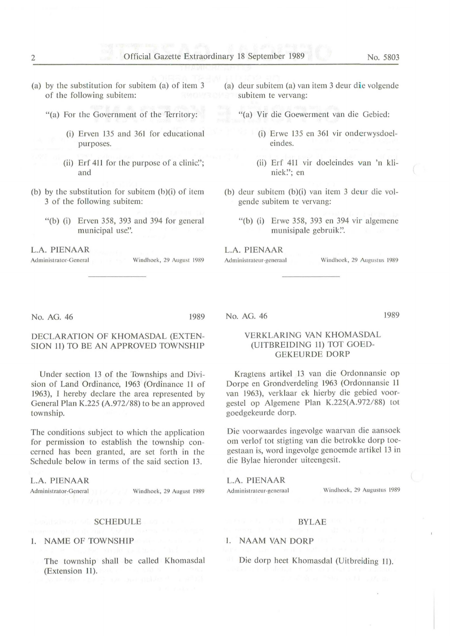- (a) by the substitution for subitem (a) of item 3 of the following subitem:
	- "(a) For the Government of the Territory:
		- (i) Erven 135 and 361 for educational purposes.
		- (ii) Erf 411 for the purpose of a clinic."; and
- (b) by the substitution for subitem  $(b)(i)$  of item 3 of the following subitem:
	- "(b) (i) Erven 358, 393 and 394 for general municipal use".

**L.A. PIENAAR** 

Administrator-General Windhoek, 29 August 1989

- (a) deur subitem (a) van item  $3$  deur die volgende subitem te vervang:
	- "(a) Vir die Goewerment van die Gebied:
		- (i) Erwe 135 en 361 vir onderwysdoeleindes.
		- (ii) Erf 411 vir doeleindes van 'n kliniek"; en
- (b) deur subitem (b)(i) van item 3 deur die volgende subitem te vervang:
	- "(b) (i) Erwe 358, 393 en 394 vir algemene munisipale gebruik'.'.

**L.A. PIENAAR**  Administrateur-generaal Windhoek, 29 Augustus 1989

1989

#### No. AG. 46 1989

## DECLARATION OF KHOMASDAL (EXTEN-SION 11) TO BE AN APPROVED TOWNSHIP

Under section 13 of the Townships and Division of Land Ordinance, 1963 (Ordinance 11 of 1963), I hereby declare the area represented by General Plan K.225 (A.972/88) to be an approved township.

The conditions subject to which the application for permission to establish the township concerned has been granted, are set forth in the Schedule below in terms of the said section 13.

**L.A. PIENAAR**  Administrator-General Windhoek, 29 August 1989

## **SCHEDULE**

### I. NAME OF TOWNSHIP

The township shall be called Khomasdal (Extension 11).

#### No. AG. 46

VERKLARING VAN KHOMASDAL

## (UITBREIDING 11) TOT GOED-GEKEURDE DORP

Kragtens artikel 13 van die Ordonnansie op Dorpe en Grondverdeljng 1963 (Ordonnansie 11 van 1963), verklaar ek hierby die gebied voorgestel op Algemene Plan K.225(A.972/88) tot goedgekeurde dorp.

Die voorwaardes ingevolge waarvan die aansoek om verlof tot stigting van die betrokke dorp toegestaan is, word ingevolge genoemde artikel 13 in die Bylae hieronder uiteengesit.

**L.A. PIENAAR** 

Administrateur-generaal Windhoek, 29 Augustus 1989

#### **BYLAE**

#### I. **NAAM VAN DORP**

Die dorp heet Khomasdal (Uitbreiding 11).